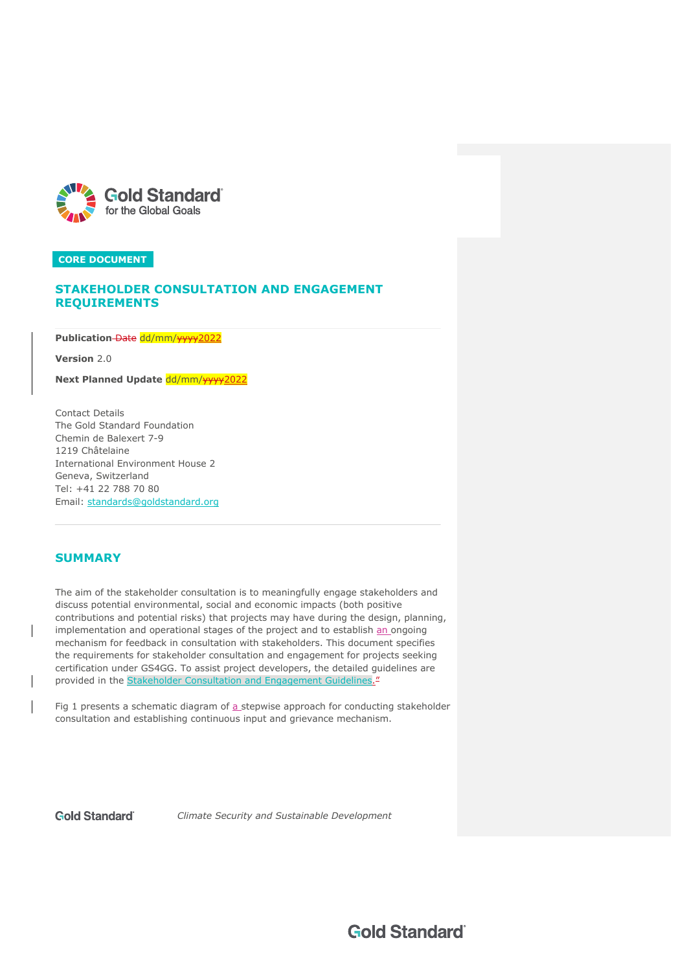

# **STAKEHOLDER CONSULTATION AND ENGAGEMENT REQUIREMENTS**

Publication-Date dd/mm/www2022

**Version** 2.0

**Next Planned Update dd/mm/www2022** 

Contact Details The Gold Standard Foundation Chemin de Balexert 7-9 1219 Châtelaine International Environment House 2 Geneva, Switzerland Tel: +41 22 788 70 80 Email: standards@goldstandard.org

# **SUMMARY**

The aim of the stakeholder consultation is to meaningfully engage stakeholders and discuss potential environmental, social and economic impacts (both positive contributions and potential risks) that projects may have during the design, planning, implementation and operational stages of the project and to establish an ongoing mechanism for feedback in consultation with stakeholders. This document specifies the requirements for stakeholder consultation and engagement for projects seeking certification under GS4GG. To assist project developers, the detailed guidelines are provided in the Stakeholder Consultation and Engagement Guidelines.<sup>"</sup>

Fig 1 presents a schematic diagram of  $a$  stepwise approach for conducting stakeholder consultation and establishing continuous input and grievance mechanism.

**Gold Standard** 

*Climate Security and Sustainable Development*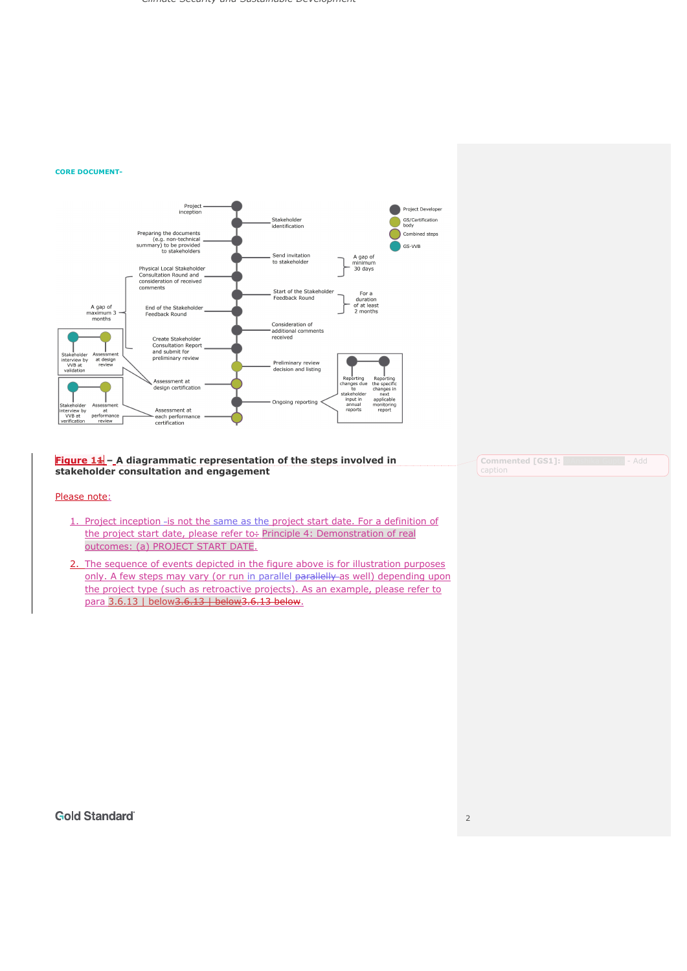

**Figure 11 – A diagrammatic representation of the steps involved in stakeholder consultation and engagement**

## Please note:

- 1. Project inception -is not the same as the project start date. For a definition of the project start date, please refer to÷ Principle 4: Demonstration of real outcomes: (a) PROJECT START DATE.
- 2. The sequence of events depicted in the figure above is for illustration purposes only. A few steps may vary (or run in parallel parallelly as well) depending upon the project type (such as retroactive projects). As an example, please refer to para 3.6.13 | below3.6.13 | below3.6.13 below.

**Commented [GS1]:** @Anshika Gupta - Add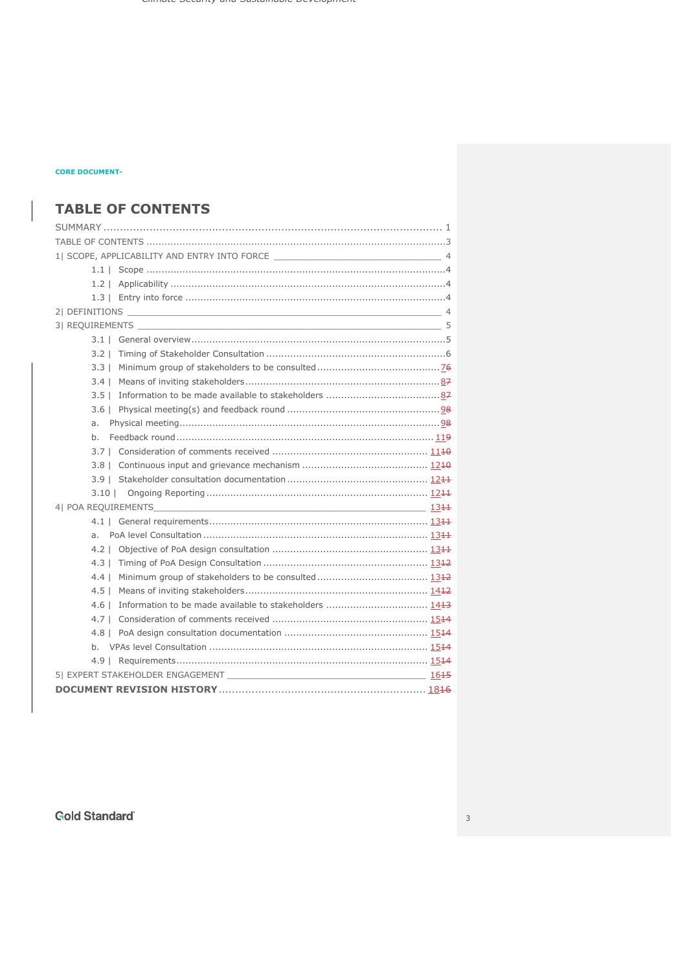# **TABLE OF CONTENTS**

| $3.2 \perp$ |  |  |  |  |
|-------------|--|--|--|--|
|             |  |  |  |  |
| $3.4 \perp$ |  |  |  |  |
|             |  |  |  |  |
|             |  |  |  |  |
| a.          |  |  |  |  |
| h.          |  |  |  |  |
|             |  |  |  |  |
|             |  |  |  |  |
|             |  |  |  |  |
|             |  |  |  |  |
|             |  |  |  |  |
|             |  |  |  |  |
| а.          |  |  |  |  |
|             |  |  |  |  |
| $4.3 \perp$ |  |  |  |  |
| $4.4 \perp$ |  |  |  |  |
|             |  |  |  |  |
| $4.6 \perp$ |  |  |  |  |
|             |  |  |  |  |
|             |  |  |  |  |
|             |  |  |  |  |
|             |  |  |  |  |
|             |  |  |  |  |
|             |  |  |  |  |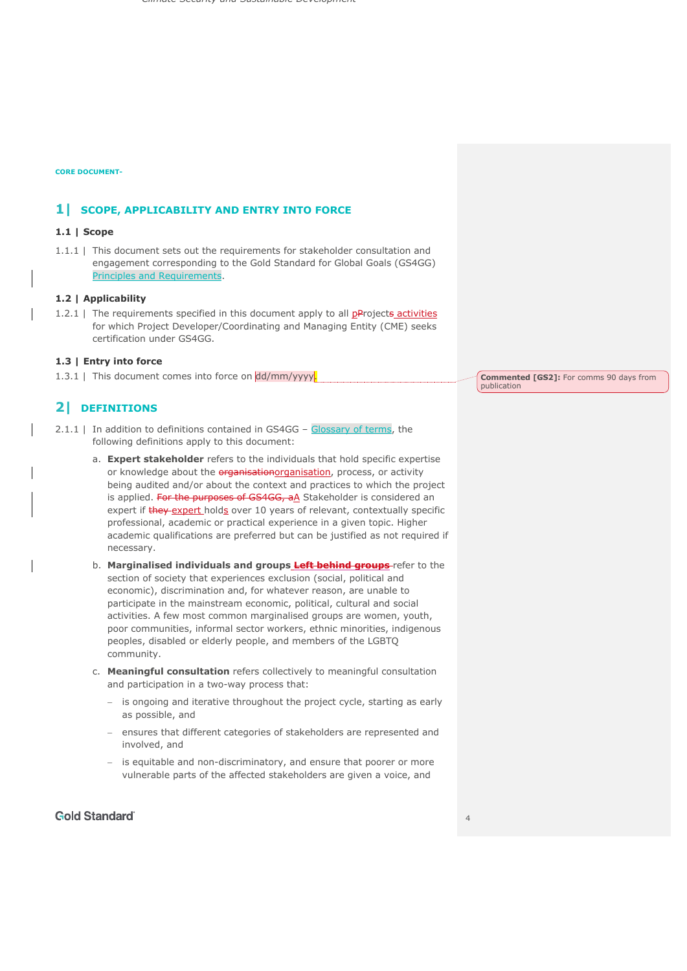# **1| SCOPE, APPLICABILITY AND ENTRY INTO FORCE**

# **1.1 | Scope**

1.1.1 | This document sets out the requirements for stakeholder consultation and engagement corresponding to the Gold Standard for Global Goals (GS4GG) Principles and Requirements.

# **1.2 | Applicability**

1.2.1 | The requirements specified in this document apply to all  $p$ Projects activities for which Project Developer/Coordinating and Managing Entity (CME) seeks certification under GS4GG.

# **1.3 | Entry into force**

1.3.1 | This document comes into force on dd/mm/yyyy.

# **2| DEFINITIONS**

- 2.1.1 | In addition to definitions contained in GS4GG Glossary of terms, the following definitions apply to this document:
	- a. **Expert stakeholder** refers to the individuals that hold specific expertise or knowledge about the *erganisationorganisation*, process, or activity being audited and/or about the context and practices to which the project is applied. For the purposes of GS4GG, aA Stakeholder is considered an expert if **they-expert** holds over 10 years of relevant, contextually specific professional, academic or practical experience in a given topic. Higher academic qualifications are preferred but can be justified as not required if necessary.
	- b. **Marginalised individuals and groups Left behind groups** refer to the section of society that experiences exclusion (social, political and economic), discrimination and, for whatever reason, are unable to participate in the mainstream economic, political, cultural and social activities. A few most common marginalised groups are women, youth, poor communities, informal sector workers, ethnic minorities, indigenous peoples, disabled or elderly people, and members of the LGBTQ community.
	- c. **Meaningful consultation** refers collectively to meaningful consultation and participation in a two-way process that:
		- is ongoing and iterative throughout the project cycle, starting as early as possible, and
		- ensures that different categories of stakeholders are represented and involved, and
		- is equitable and non-discriminatory, and ensure that poorer or more vulnerable parts of the affected stakeholders are given a voice, and

# **Gold Standard**

**Commented [GS2]:** For comms 90 days from publication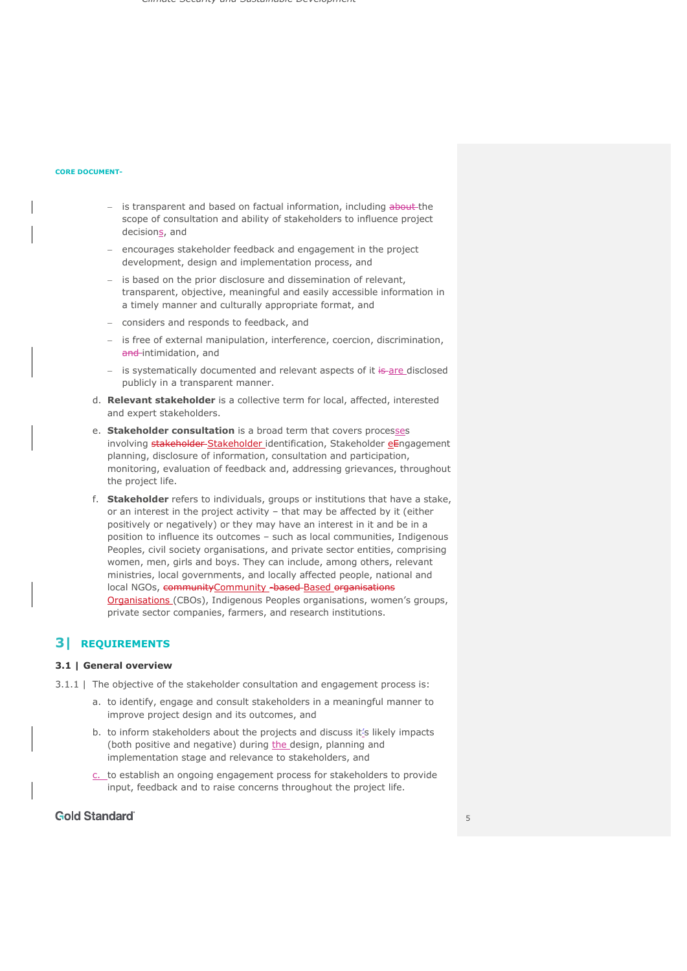- is transparent and based on factual information, including about the scope of consultation and ability of stakeholders to influence project decisions, and
- encourages stakeholder feedback and engagement in the project development, design and implementation process, and
- is based on the prior disclosure and dissemination of relevant, transparent, objective, meaningful and easily accessible information in a timely manner and culturally appropriate format, and
- considers and responds to feedback, and
- is free of external manipulation, interference, coercion, discrimination, and-intimidation, and
- is systematically documented and relevant aspects of it is are disclosed publicly in a transparent manner.
- d. **Relevant stakeholder** is a collective term for local, affected, interested and expert stakeholders.
- e. **Stakeholder consultation** is a broad term that covers processes involving stakeholder-Stakeholder identification, Stakeholder eEngagement planning, disclosure of information, consultation and participation, monitoring, evaluation of feedback and, addressing grievances, throughout the project life.
- f. **Stakeholder** refers to individuals, groups or institutions that have a stake, or an interest in the project activity – that may be affected by it (either positively or negatively) or they may have an interest in it and be in a position to influence its outcomes – such as local communities, Indigenous Peoples, civil society organisations, and private sector entities, comprising women, men, girls and boys. They can include, among others, relevant ministries, local governments, and locally affected people, national and local NGOs, communityCommunity - based-Based organisations Organisations (CBOs), Indigenous Peoples organisations, women's groups, private sector companies, farmers, and research institutions.

# **3| REQUIREMENTS**

## **3.1 | General overview**

- 3.1.1 | The objective of the stakeholder consultation and engagement process is:
	- a. to identify, engage and consult stakeholders in a meaningful manner to improve project design and its outcomes, and
	- b. to inform stakeholders about the projects and discuss it's likely impacts (both positive and negative) during the design, planning and implementation stage and relevance to stakeholders, and
	- c. to establish an ongoing engagement process for stakeholders to provide input, feedback and to raise concerns throughout the project life.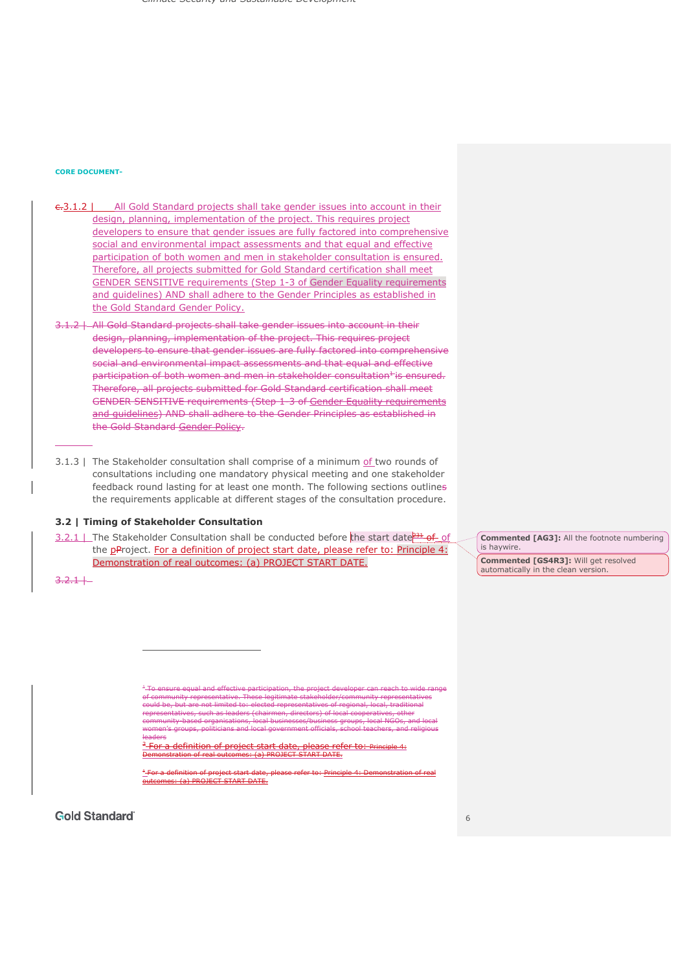#### **CORE DOCUMENT-**

- e. 3.1.2 | All Gold Standard projects shall take gender issues into account in their design, planning, implementation of the project. This requires project developers to ensure that gender issues are fully factored into comprehensive social and environmental impact assessments and that equal and effective participation of both women and men in stakeholder consultation is ensured. Therefore, all projects submitted for Gold Standard certification shall meet GENDER SENSITIVE requirements (Step 1-3 of Gender Equality requirements and guidelines) AND shall adhere to the Gender Principles as established in the Gold Standard Gender Policy.
- 3.1.2 | All Gold Standard projects shall take gender issues into account in their design, planning, implementation of the project. This requires project developers to ensure that gender issues are fully factored into comprehensive social and environmental impact assessments and that equal and effective participation of both women and men in stakeholder consultation<sup>1</sup> is ensured. Therefore, all projects submitted for Gold Standard certification shall meet GENDER SENSITIVE requirements (Step 1-3 of Gender Equality requirements and guidelines) AND shall adhere to the Gender Principles as established in the Gold Standard Gender Policy.
- 3.1.3 | The Stakeholder consultation shall comprise of a minimum of two rounds of consultations including one mandatory physical meeting and one stakeholder feedback round lasting for at least one month. The following sections outlines the requirements applicable at different stages of the consultation procedure.

## **3.2 | Timing of Stakeholder Consultation**

3.2.1 | The Stakeholder Consultation shall be conducted before the start date  $231$  of of the pProject. For a definition of project start date, please refer to: Principle 4: Demonstration of real outcomes: (a) PROJECT START DATE.

**Commented [AG3]:** All the footnote numbering is haywire.

**Commented [GS4R3]:** Will get resolved automatically in the clean version.

 $3.2.1 +$ 

<sup>+</sup> To ensure equal and effective participation, the project developer can reach to wide range representative could be, but are not limited to: elected representatives of regional, local, traditional entatives, such as leaders (chairmen, directors) of local cooperatives, other community-based organisations, local businesses/business groups, local NGOs, and local women's groups, politicians and local government officials, school teachers, and religious leaders For a definition of project start date, please refer to: Principle 4: Demonstration of real outcomes: (a) PROJECT START DATE.

<sup>+</sup> For a definition of project start date, please refer to: Principle 4: Demonstration of real (a) PROJECT START DATE.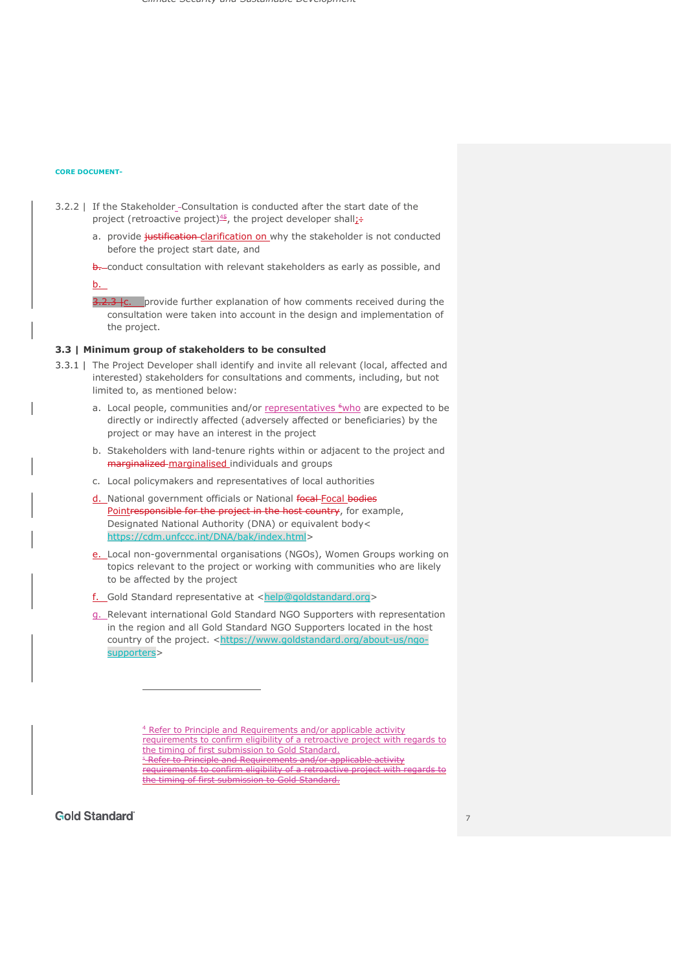- 3.2.2 | If the Stakeholder\_-Consultation is conducted after the start date of the project (retroactive project) $45/2$ , the project developer shall:
	- a. provide justification-clarification on why the stakeholder is not conducted before the project start date, and
	- b. conduct consultation with relevant stakeholders as early as possible, and

## b.

3.2.3 Ic. provide further explanation of how comments received during the consultation were taken into account in the design and implementation of the project.

## **3.3 | Minimum group of stakeholders to be consulted**

- 3.3.1 | The Project Developer shall identify and invite all relevant (local, affected and interested) stakeholders for consultations and comments, including, but not limited to, as mentioned below:
	- a. Local people, communities and/or representatives  $6$ who are expected to be directly or indirectly affected (adversely affected or beneficiaries) by the project or may have an interest in the project
	- b. Stakeholders with land-tenure rights within or adjacent to the project and marginalized marginalised individuals and groups
	- c. Local policymakers and representatives of local authorities
	- d. National government officials or National focal Focal bodies Pointresponsible for the project in the host country, for example, Designated National Authority (DNA) or equivalent body< https://cdm.unfccc.int/DNA/bak/index.html>
	- e. Local non-governmental organisations (NGOs), Women Groups working on topics relevant to the project or working with communities who are likely to be affected by the project
	- f. Gold Standard representative at <help@goldstandard.org>
	- g. Relevant international Gold Standard NGO Supporters with representation in the region and all Gold Standard NGO Supporters located in the host country of the project. <https://www.goldstandard.org/about-us/ngosupporters>

<sup>4</sup> Refer to Principle and Requirements and/or applicable activity requirements to confirm eligibility of a retroactive project with regards to the timing of first submission to Gold Standard. **F Refer to Principle and Requirements and/or applicable activity** 

ments to confirm eligibility of a retroa the timing of first submission to Gold Standard.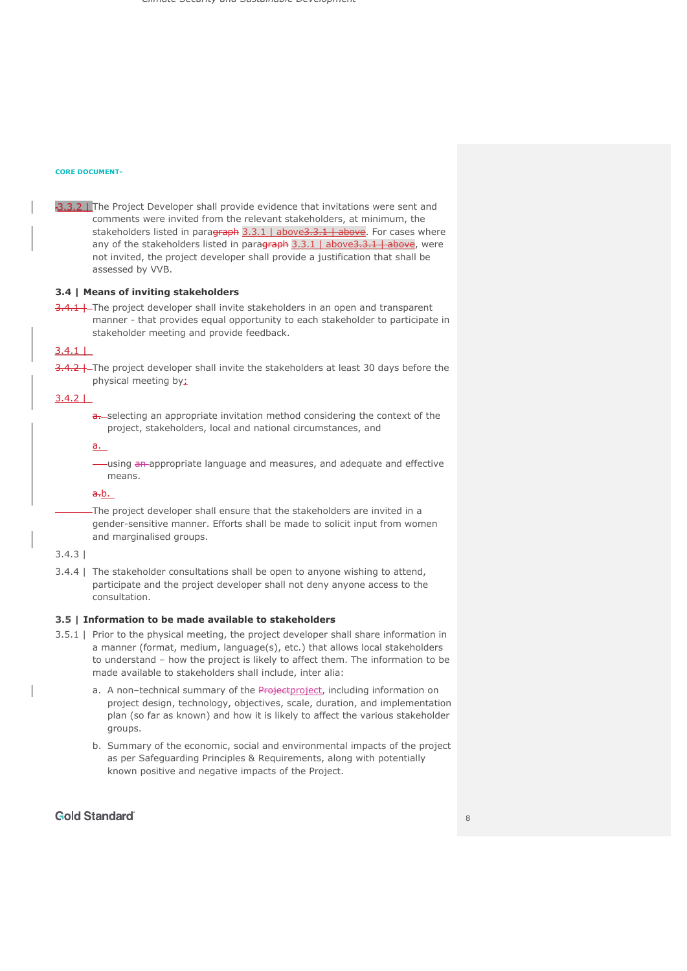#### **CORE DOCUMENT-**

-3.3.2 | The Project Developer shall provide evidence that invitations were sent and comments were invited from the relevant stakeholders, at minimum, the stakeholders listed in paragraph 3.3.1 | above 3.3.1 | above. For cases where any of the stakeholders listed in paragraph 3.3.1 | above3.3.1 | above, were not invited, the project developer shall provide a justification that shall be assessed by VVB.

## **3.4 | Means of inviting stakeholders**

3.4.1 | The project developer shall invite stakeholders in an open and transparent manner - that provides equal opportunity to each stakeholder to participate in stakeholder meeting and provide feedback.

# $3.4.1$

3.4.2 | The project developer shall invite the stakeholders at least 30 days before the physical meeting by:

## $3.4.2$  |

a. selecting an appropriate invitation method considering the context of the project, stakeholders, local and national circumstances, and

## a.

using an appropriate language and measures, and adeguate and effective means.

## $a.b.$

The project developer shall ensure that the stakeholders are invited in a gender-sensitive manner. Efforts shall be made to solicit input from women and marginalised groups.

# 3.4.3 |

3.4.4 | The stakeholder consultations shall be open to anyone wishing to attend, participate and the project developer shall not deny anyone access to the consultation.

### **3.5 | Information to be made available to stakeholders**

- 3.5.1 | Prior to the physical meeting, the project developer shall share information in a manner (format, medium, language(s), etc.) that allows local stakeholders to understand – how the project is likely to affect them. The information to be made available to stakeholders shall include, inter alia:
	- a. A non-technical summary of the Project project, including information on project design, technology, objectives, scale, duration, and implementation plan (so far as known) and how it is likely to affect the various stakeholder groups.
	- b. Summary of the economic, social and environmental impacts of the project as per Safeguarding Principles & Requirements, along with potentially known positive and negative impacts of the Project.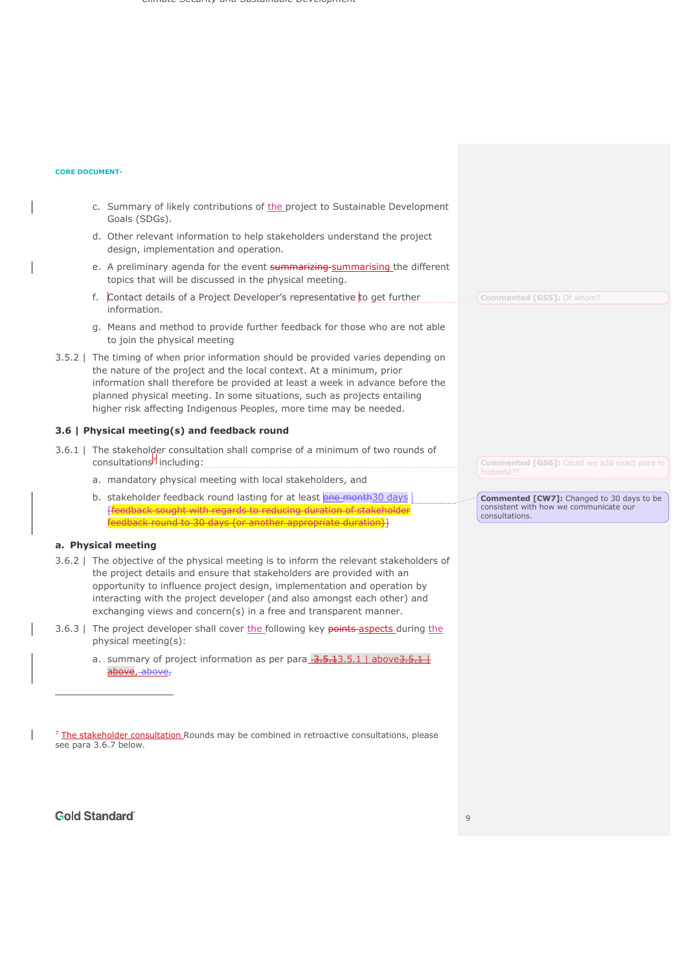## **CORE DOCUMENT-**

- c. Summary of likely contributions of the project to Sustainable Development Goals (SDGs).
- d. Other relevant information to help stakeholders understand the project design, implementation and operation.
- e. A preliminary agenda for the event summarizing summarising the different topics that will be discussed in the physical meeting.
- f. Contact details of a Project Developer's representative to get further information.
- g. Means and method to provide further feedback for those who are not able to join the physical meeting
- 3.5.2 | The timing of when prior information should be provided varies depending on the nature of the project and the local context. At a minimum, prior information shall therefore be provided at least a week in advance before the planned physical meeting. In some situations, such as projects entailing higher risk affecting Indigenous Peoples, more time may be needed.

## **3.6 | Physical meeting(s) and feedback round**

- 3.6.1 | The stakeholder consultation shall comprise of a minimum of two rounds of consultations<sup>7</sup> including:
	- a. mandatory physical meeting with local stakeholders, and
	- b. stakeholder feedback round lasting for at least **one month30 days** [feedback sought with regards to reducing duration of stakeholder feedback round to 30 days (or another appropriate duration)]

## **a. Physical meeting**

- 3.6.2 | The objective of the physical meeting is to inform the relevant stakeholders of the project details and ensure that stakeholders are provided with an opportunity to influence project design, implementation and operation by interacting with the project developer (and also amongst each other) and exchanging views and concern(s) in a free and transparent manner.
- 3.6.3 | The project developer shall cover the following key points aspects during the physical meeting(s):
	- a. summary of project information as per para  $3.5.13.5.1$  | above  $3.5.1$  | above, above,

<sup>7</sup> The stakeholder consultation Rounds may be combined in retroactive consultations, please see para 3.6.7 below.

**Commented [GS6]:** Could we add exact para in footnote??

**Commented [GS5]:** Of whom?

**Commented [CW7]:** Changed to 30 days to be consistent with how we communicate our consultations.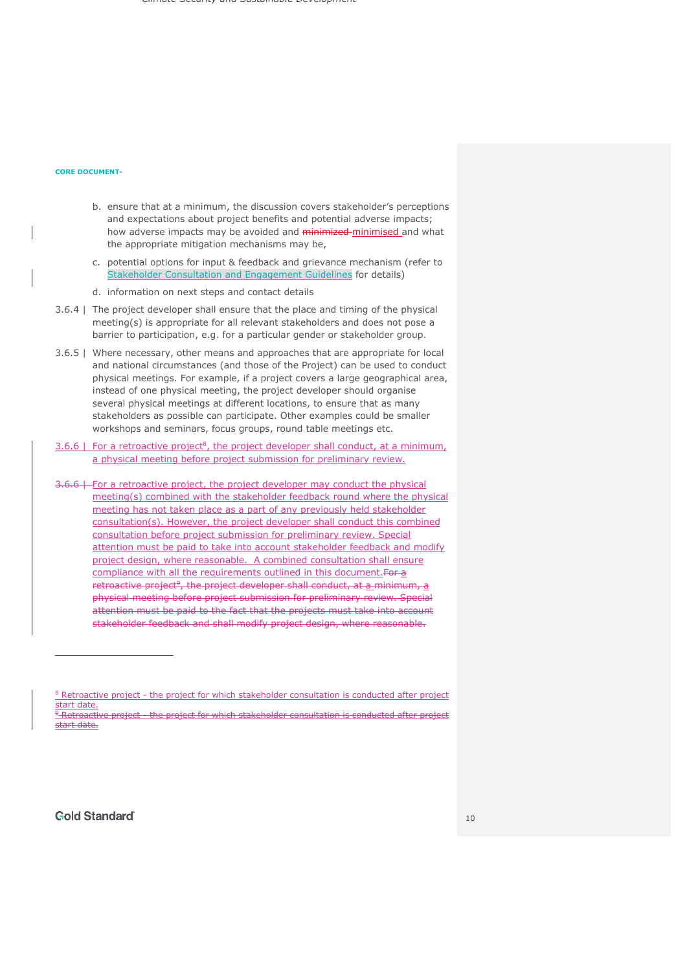- b. ensure that at a minimum, the discussion covers stakeholder's perceptions and expectations about project benefits and potential adverse impacts; how adverse impacts may be avoided and **minimized-minimised** and what the appropriate mitigation mechanisms may be,
- c. potential options for input & feedback and grievance mechanism (refer to Stakeholder Consultation and Engagement Guidelines for details)
- d. information on next steps and contact details
- 3.6.4 | The project developer shall ensure that the place and timing of the physical meeting(s) is appropriate for all relevant stakeholders and does not pose a barrier to participation, e.g. for a particular gender or stakeholder group.
- 3.6.5 | Where necessary, other means and approaches that are appropriate for local and national circumstances (and those of the Project) can be used to conduct physical meetings. For example, if a project covers a large geographical area, instead of one physical meeting, the project developer should organise several physical meetings at different locations, to ensure that as many stakeholders as possible can participate. Other examples could be smaller workshops and seminars, focus groups, round table meetings etc.
- $3.6.6$  | For a retroactive project<sup>8</sup>, the project developer shall conduct, at a minimum, a physical meeting before project submission for preliminary review.
- 3.6.6 | For a retroactive project, the project developer may conduct the physical meeting(s) combined with the stakeholder feedback round where the physical meeting has not taken place as a part of any previously held stakeholder consultation(s). However, the project developer shall conduct this combined consultation before project submission for preliminary review. Special attention must be paid to take into account stakeholder feedback and modify project design, where reasonable. A combined consultation shall ensure compliance with all the requirements outlined in this document. For a retroactive project<sup>9</sup>, the project developer shall conduct, at  $a$  minimum,  $a$ physical meeting before project submission for preliminary review. Special attention must be paid to the fact that the projects must take into account stakeholder feedback and shall modify project design, where reasonable.

<sup>&</sup>lt;sup>8</sup> Retroactive project - the project for which stakeholder consultation is conducted after project start date. <sup>9</sup> Retroactive project - the project for which stakeholder consultation is conducted after project start date.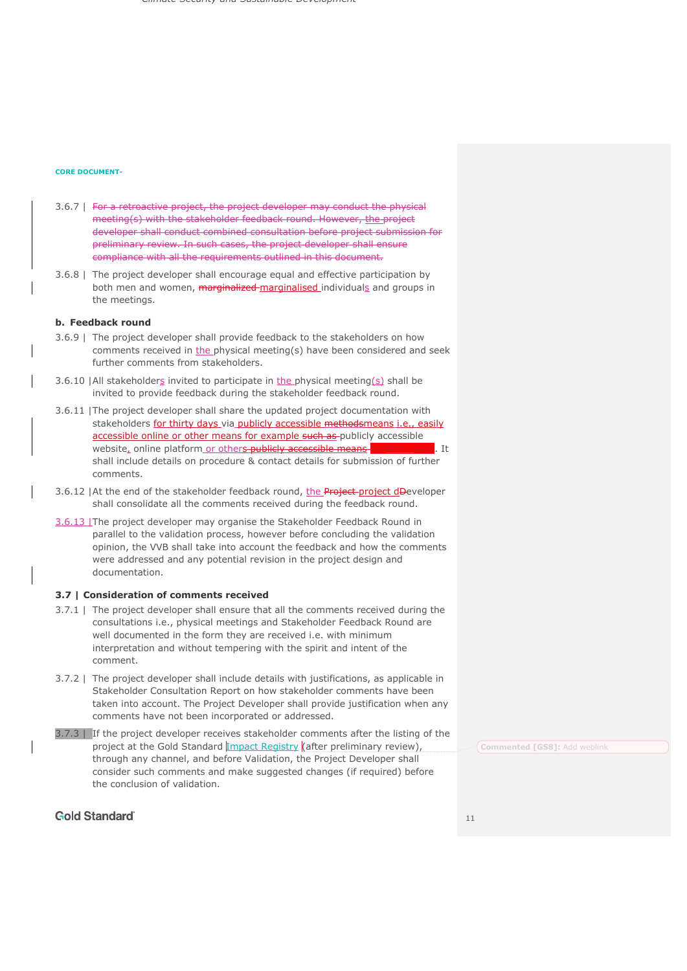### **CORE DOCUMENT-**

- 3.6.7 | For a retroactive project, the project developer may conduct the physical meeting(s) with the stakeholder feedback round. However, the project developer shall conduct combined consultation before project submission for preliminary review. In such cases, the project developer shall ensure compliance with all the requirements outlined in this document.
- 3.6.8 | The project developer shall encourage equal and effective participation by both men and women, marginalized marginalised individuals and groups in the meetings.

## **b. Feedback round**

- 3.6.9 | The project developer shall provide feedback to the stakeholders on how comments received in the physical meeting(s) have been considered and seek further comments from stakeholders.
- 3.6.10 | All stakeholders invited to participate in the physical meeting(s) shall be invited to provide feedback during the stakeholder feedback round.
- 3.6.11 |The project developer shall share the updated project documentation with stakeholders for thirty days via publicly accessible methodsmeans i.e., easily accessible online or other means for example such as publicly accessible website, online platform or others publicly accessible means for thirty days. It shall include details on procedure & contact details for submission of further comments.
- 3.6.12 | At the end of the stakeholder feedback round, the Project-project dDeveloper shall consolidate all the comments received during the feedback round.
- 3.6.13 |The project developer may organise the Stakeholder Feedback Round in parallel to the validation process, however before concluding the validation opinion, the VVB shall take into account the feedback and how the comments were addressed and any potential revision in the project design and documentation.

### **3.7 | Consideration of comments received**

- 3.7.1 | The project developer shall ensure that all the comments received during the consultations i.e., physical meetings and Stakeholder Feedback Round are well documented in the form they are received i.e. with minimum interpretation and without tempering with the spirit and intent of the comment.
- 3.7.2 | The project developer shall include details with justifications, as applicable in Stakeholder Consultation Report on how stakeholder comments have been taken into account. The Project Developer shall provide justification when any comments have not been incorporated or addressed.
- 3.7.3 | If the project developer receives stakeholder comments after the listing of the project at the Gold Standard *Impact Registry* (after preliminary review), through any channel, and before Validation, the Project Developer shall consider such comments and make suggested changes (if required) before the conclusion of validation.

# **Gold Standard**

**Commented [GS8]:** Add weblink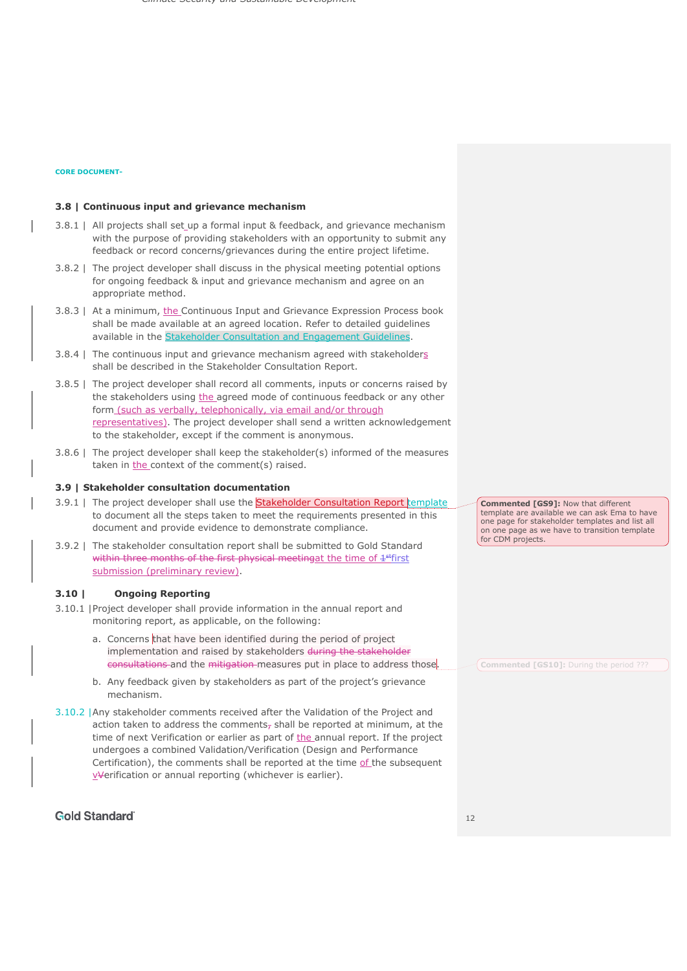## **3.8 | Continuous input and grievance mechanism**

- 3.8.1 | All projects shall set up a formal input & feedback, and grievance mechanism with the purpose of providing stakeholders with an opportunity to submit any feedback or record concerns/grievances during the entire project lifetime.
- 3.8.2 | The project developer shall discuss in the physical meeting potential options for ongoing feedback & input and grievance mechanism and agree on an appropriate method.
- 3.8.3 | At a minimum, the Continuous Input and Grievance Expression Process book shall be made available at an agreed location. Refer to detailed guidelines available in the Stakeholder Consultation and Engagement Guidelines
- 3.8.4 | The continuous input and grievance mechanism agreed with stakeholders shall be described in the Stakeholder Consultation Report.
- 3.8.5 | The project developer shall record all comments, inputs or concerns raised by the stakeholders using the agreed mode of continuous feedback or any other form (such as verbally, telephonically, via email and/or through representatives). The project developer shall send a written acknowledgement to the stakeholder, except if the comment is anonymous.
- 3.8.6 | The project developer shall keep the stakeholder(s) informed of the measures taken in the context of the comment(s) raised.

#### **3.9 | Stakeholder consultation documentation**

- 3.9.1 | The project developer shall use the Stakeholder Consultation Report template to document all the steps taken to meet the requirements presented in this document and provide evidence to demonstrate compliance.
- 3.9.2 | The stakeholder consultation report shall be submitted to Gold Standard within three months of the first physical meetingat the time of  $4$ <sup>st</sup>first submission (preliminary review).

#### **3.10 | Ongoing Reporting**

- 3.10.1 |Project developer shall provide information in the annual report and monitoring report, as applicable, on the following:
	- a. Concerns that have been identified during the period of project implementation and raised by stakeholders during the stakeholder consultations and the mitigation measures put in place to address those.
	- b. Any feedback given by stakeholders as part of the project's grievance mechanism.
- 3.10.2 |Any stakeholder comments received after the Validation of the Project and action taken to address the comments<sub> $\bar{r}$ </sub> shall be reported at minimum, at the time of next Verification or earlier as part of the annual report. If the project undergoes a combined Validation/Verification (Design and Performance Certification), the comments shall be reported at the time of the subsequent vVerification or annual reporting (whichever is earlier).

# **Gold Standard**

**Commented [GS9]:** Now that different template are available we can ask Ema to have one page for stakeholder templates and list all on one page as we have to transition template for CDM projects.

**Commented [GS10]:** During the period ???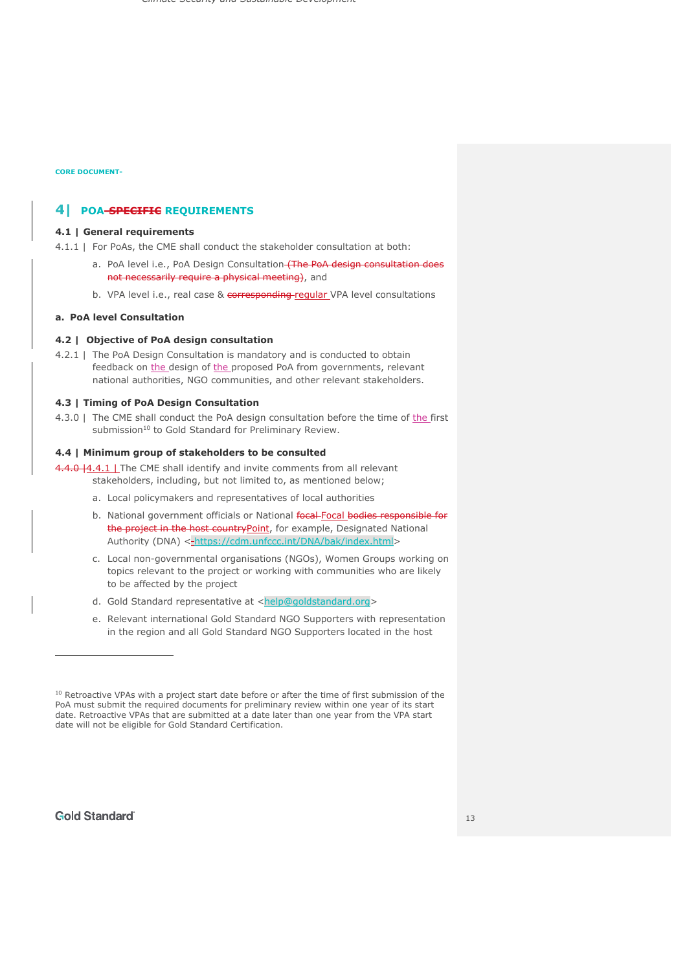# **4| POA-SPECIFIC REQUIREMENTS**

## **4.1 | General requirements**

4.1.1 | For PoAs, the CME shall conduct the stakeholder consultation at both:

- a. PoA level i.e., PoA Design Consultation-(The PoA design consultation does not necessarily require a physical meeting), and
- b. VPA level i.e., real case & corresponding-regular VPA level consultations

## **a. PoA level Consultation**

## **4.2 | Objective of PoA design consultation**

4.2.1 | The PoA Design Consultation is mandatory and is conducted to obtain feedback on the design of the proposed PoA from governments, relevant national authorities, NGO communities, and other relevant stakeholders.

## **4.3 | Timing of PoA Design Consultation**

4.3.0 | The CME shall conduct the PoA design consultation before the time of the first submission<sup>10</sup> to Gold Standard for Preliminary Review.

## **4.4 | Minimum group of stakeholders to be consulted**

4.4.0 | 4.4.1 | The CME shall identify and invite comments from all relevant stakeholders, including, but not limited to, as mentioned below;

- a. Local policymakers and representatives of local authorities
- b. National government officials or National focal Focal bodies responsible for the project in the host country Point, for example, Designated National Authority (DNA) < https://cdm.unfccc.int/DNA/bak/index.html>
- c. Local non-governmental organisations (NGOs), Women Groups working on topics relevant to the project or working with communities who are likely to be affected by the project
- d. Gold Standard representative at <help@goldstandard.org>
- e. Relevant international Gold Standard NGO Supporters with representation in the region and all Gold Standard NGO Supporters located in the host

<sup>&</sup>lt;sup>10</sup> Retroactive VPAs with a project start date before or after the time of first submission of the PoA must submit the required documents for preliminary review within one year of its start date. Retroactive VPAs that are submitted at a date later than one year from the VPA start date will not be eligible for Gold Standard Certification.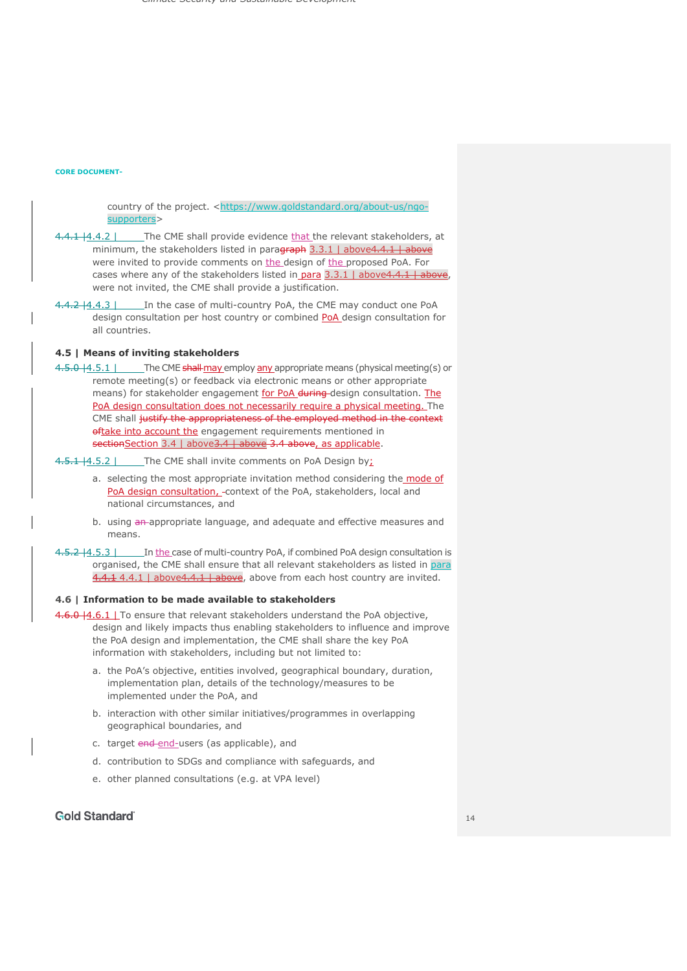country of the project. <https://www.goldstandard.org/about-us/ngosupporters>

- 4.4.1 |4.4.2 | The CME shall provide evidence that the relevant stakeholders, at minimum, the stakeholders listed in paradraph 3.3.1 | above 4.4.1 | above were invited to provide comments on the design of the proposed PoA. For cases where any of the stakeholders listed in para  $3.3.1$  | above  $4.4.1$  | above, were not invited, the CME shall provide a justification.
- 4.4.2 | 4.4.3 | In the case of multi-country PoA, the CME may conduct one PoA design consultation per host country or combined PoA design consultation for all countries.

## **4.5 | Means of inviting stakeholders**

4.5.0 | 4.5.1 | The CME shall may employ any appropriate means (physical meeting(s) or remote meeting(s) or feedback via electronic means or other appropriate means) for stakeholder engagement for PoA during-design consultation. The PoA design consultation does not necessarily require a physical meeting. The CME shall justify the appropriateness of the employed method in the context oftake into account the engagement requirements mentioned in sectionSection 3.4 | above 3.4 + above 3.4 above, as applicable.

4.5.1 | 4.5.2 | The CME shall invite comments on PoA Design by:

- a. selecting the most appropriate invitation method considering the mode of PoA design consultation, - context of the PoA, stakeholders, local and national circumstances, and
- b. using an-appropriate language, and adequate and effective measures and means.
- 4.5.2 | 4.5.3 | In the case of multi-country PoA, if combined PoA design consultation is organised, the CME shall ensure that all relevant stakeholders as listed in para 4.4.1 4.4.1 | above4.4.1 | above, above from each host country are invited.

## **4.6 | Information to be made available to stakeholders**

4.6.0 | 4.6.1 | To ensure that relevant stakeholders understand the PoA objective, design and likely impacts thus enabling stakeholders to influence and improve the PoA design and implementation, the CME shall share the key PoA information with stakeholders, including but not limited to:

- a. the PoA's objective, entities involved, geographical boundary, duration, implementation plan, details of the technology/measures to be implemented under the PoA, and
- b. interaction with other similar initiatives/programmes in overlapping geographical boundaries, and
- c. target end-end-users (as applicable), and
- d. contribution to SDGs and compliance with safeguards, and
- e. other planned consultations (e.g. at VPA level)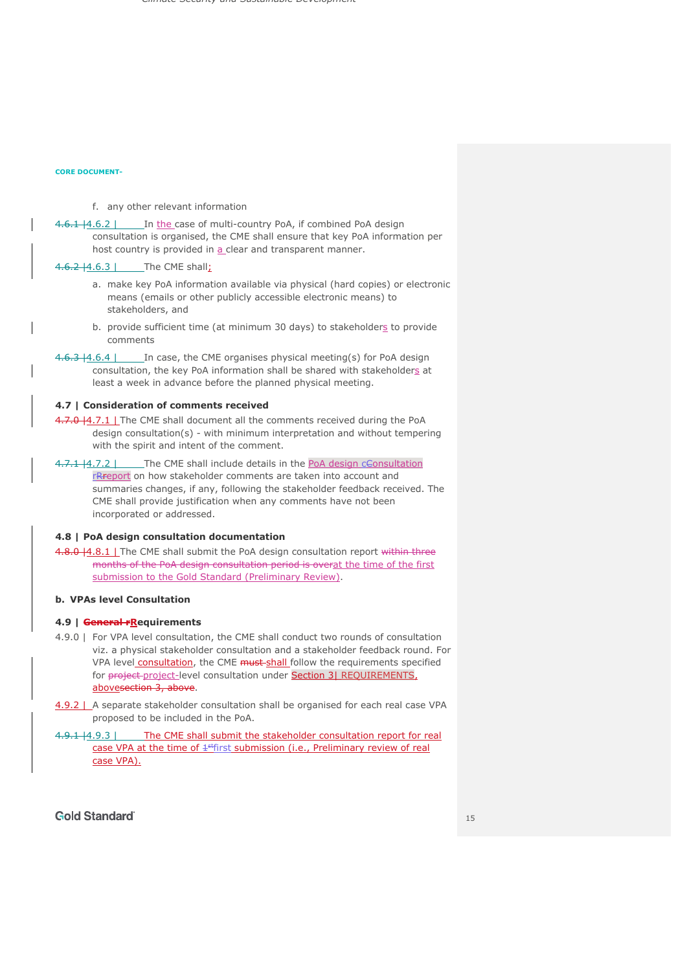## f. any other relevant information

4.6.1 | 4.6.2 | In the case of multi-country PoA, if combined PoA design consultation is organised, the CME shall ensure that key PoA information per host country is provided in a clear and transparent manner.

4.6.2 | 4.6.3 | The CME shall;

- a. make key PoA information available via physical (hard copies) or electronic means (emails or other publicly accessible electronic means) to stakeholders, and
- b. provide sufficient time (at minimum 30 days) to stakeholders to provide comments
- 4.6.3 | 4.6.4 | In case, the CME organises physical meeting(s) for PoA design consultation, the key PoA information shall be shared with stakeholders at least a week in advance before the planned physical meeting.

## **4.7 | Consideration of comments received**

- 4.7.0 | 4.7.1 | The CME shall document all the comments received during the PoA design consultation(s) - with minimum interpretation and without tempering with the spirit and intent of the comment.
- 4.7.1 | 4.7.2 | The CME shall include details in the PoA design cConsultation rRreport on how stakeholder comments are taken into account and summaries changes, if any, following the stakeholder feedback received. The CME shall provide justification when any comments have not been incorporated or addressed.

## **4.8 | PoA design consultation documentation**

4.8.0 | 4.8.1 | The CME shall submit the PoA design consultation report within three months of the PoA design consultation period is overat the time of the first submission to the Gold Standard (Preliminary Review).

# **b. VPAs level Consultation**

#### **4.9 | General rRequirements**

- 4.9.0 | For VPA level consultation, the CME shall conduct two rounds of consultation viz. a physical stakeholder consultation and a stakeholder feedback round. For VPA level consultation, the CME must shall follow the requirements specified for project-project-level consultation under Section 3| REQUIREMENTS, abovesection 3, above.
- 4.9.2 | A separate stakeholder consultation shall be organised for each real case VPA proposed to be included in the PoA.
- 4.9.1 | 4.9.3 | The CME shall submit the stakeholder consultation report for real case VPA at the time of  $4$ <sup>st</sup>first submission (i.e., Preliminary review of real case VPA).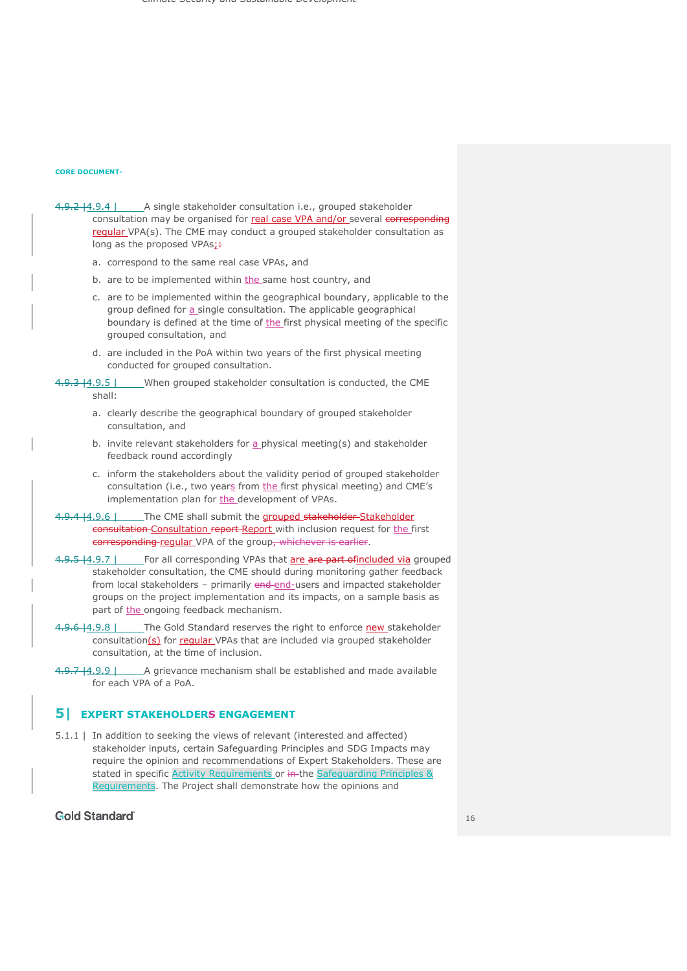- 4.9.2 | 4.9.4 | A single stakeholder consultation i.e., grouped stakeholder consultation may be organised for real case VPA and/or several corresponding regular VPA(s). The CME may conduct a grouped stakeholder consultation as long as the proposed VPAs:+
	- a. correspond to the same real case VPAs, and
	- b. are to be implemented within the same host country, and
	- c. are to be implemented within the geographical boundary, applicable to the group defined for a single consultation. The applicable geographical boundary is defined at the time of the first physical meeting of the specific grouped consultation, and
	- d. are included in the PoA within two years of the first physical meeting conducted for grouped consultation.
- 4.9.3 | 4.9.5 | When grouped stakeholder consultation is conducted, the CME shall:
	- a. clearly describe the geographical boundary of grouped stakeholder consultation, and
	- b. invite relevant stakeholders for  $a$  physical meeting(s) and stakeholder feedback round accordingly
	- c. inform the stakeholders about the validity period of grouped stakeholder consultation (i.e., two years from the first physical meeting) and CME's implementation plan for the development of VPAs.
- 4.9.4 | 4.9.6 | The CME shall submit the grouped stakeholder Stakeholder consultation-Consultation report-Report with inclusion request for the first corresponding regular VPA of the group, whichever is earlier.
- 4.9.5 |4.9.7 | For all corresponding VPAs that are are part of included via grouped stakeholder consultation, the CME should during monitoring gather feedback from local stakeholders - primarily end-end-users and impacted stakeholder groups on the project implementation and its impacts, on a sample basis as part of the ongoing feedback mechanism.
- 4.9.6 | The Gold Standard reserves the right to enforce new stakeholder consultation(s) for regular VPAs that are included via grouped stakeholder consultation, at the time of inclusion.
- 4.9.7 | 4.9.9 | A grievance mechanism shall be established and made available for each VPA of a PoA.

## **5| EXPERT STAKEHOLDERS ENGAGEMENT**

5.1.1 | In addition to seeking the views of relevant (interested and affected) stakeholder inputs, certain Safeguarding Principles and SDG Impacts may require the opinion and recommendations of Expert Stakeholders. These are stated in specific Activity Requirements or in-the Safeguarding Principles & Requirements. The Project shall demonstrate how the opinions and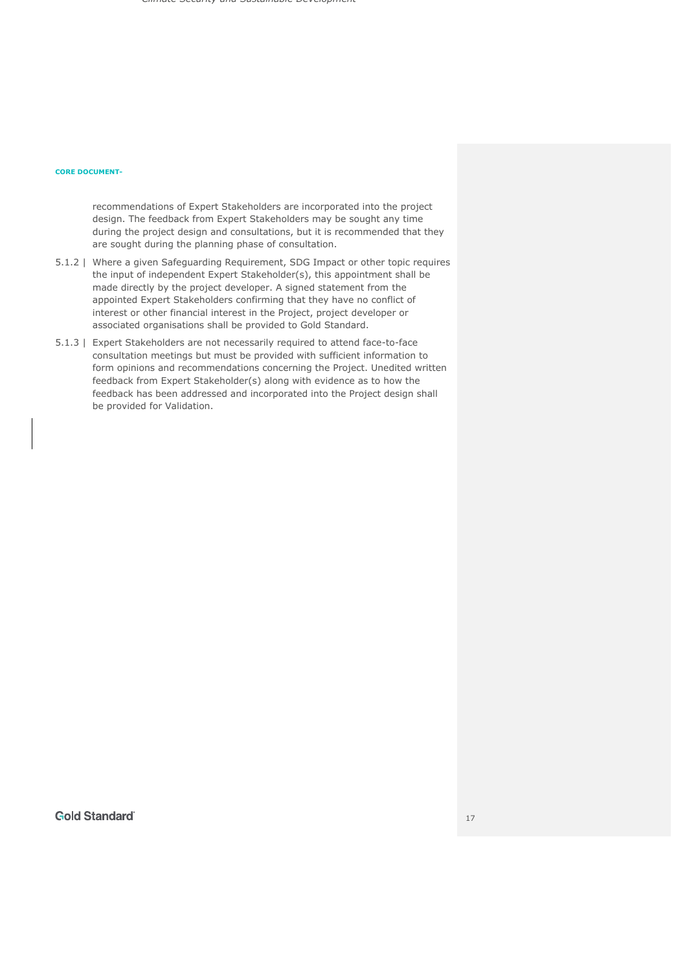## **CORE DOCUMENT-**

recommendations of Expert Stakeholders are incorporated into the project design. The feedback from Expert Stakeholders may be sought any time during the project design and consultations, but it is recommended that they are sought during the planning phase of consultation.

- 5.1.2 | Where a given Safeguarding Requirement, SDG Impact or other topic requires the input of independent Expert Stakeholder(s), this appointment shall be made directly by the project developer. A signed statement from the appointed Expert Stakeholders confirming that they have no conflict of interest or other financial interest in the Project, project developer or associated organisations shall be provided to Gold Standard.
- 5.1.3 | Expert Stakeholders are not necessarily required to attend face-to-face consultation meetings but must be provided with sufficient information to form opinions and recommendations concerning the Project. Unedited written feedback from Expert Stakeholder(s) along with evidence as to how the feedback has been addressed and incorporated into the Project design shall be provided for Validation.